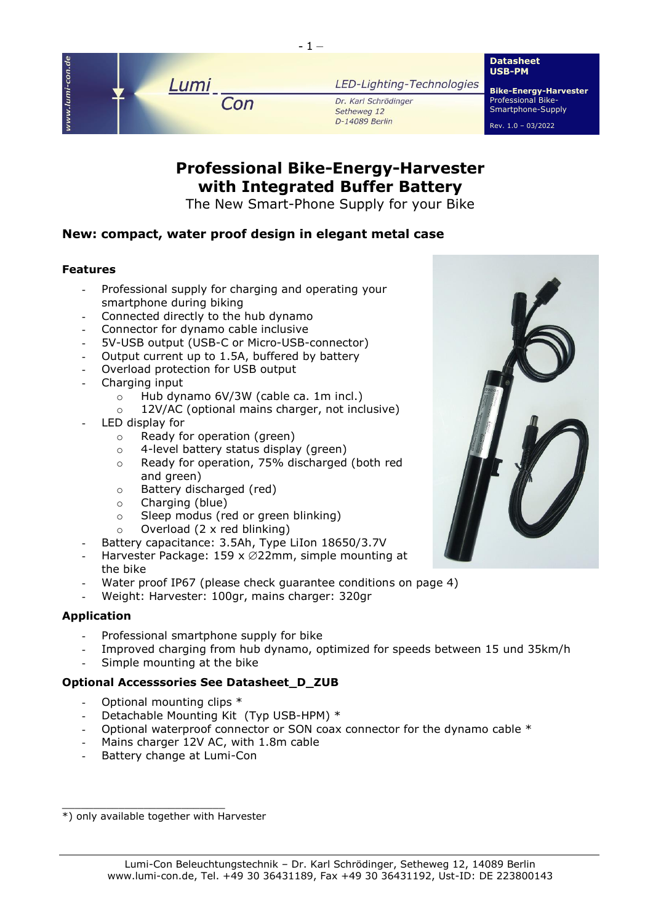

# **Professional Bike-Energy-Harvester with Integrated Buffer Battery**

The New Smart-Phone Supply for your Bike

# **New: compact, water proof design in elegant metal case**

### **Features**

- Professional supply for charging and operating your smartphone during biking
- Connected directly to the hub dynamo
- Connector for dynamo cable inclusive
- 5V-USB output (USB-C or Micro-USB-connector)
- Output current up to 1.5A, buffered by battery
- Overload protection for USB output
- Charging input
	- o Hub dynamo 6V/3W (cable ca. 1m incl.)
	- o 12V/AC (optional mains charger, not inclusive)
- LED display for
	- o Ready for operation (green)
	- o 4-level battery status display (green)
	- o Ready for operation, 75% discharged (both red and green)
	- o Battery discharged (red)
	- o Charging (blue)
	- o Sleep modus (red or green blinking)
	- $\circ$  Overload (2 x red blinking)
- Battery capacitance: 3.5Ah, Type LiIon 18650/3.7V
- Harvester Package: 159 x  $\varnothing$ 22mm, simple mounting at the bike
- Water proof IP67 (please check quarantee conditions on page 4)
- Weight: Harvester: 100gr, mains charger: 320gr

## **Application**

- Professional smartphone supply for bike
- Improved charging from hub dynamo, optimized for speeds between 15 und 35km/h
- Simple mounting at the bike

## **Optional Accesssories See Datasheet\_D\_ZUB**

- Optional mounting clips \*
- Detachable Mounting Kit (Typ USB-HPM) \*
- Optional waterproof connector or SON coax connector for the dynamo cable  $*$
- Mains charger 12V AC, with 1.8m cable
- Battery change at Lumi-Con

\_\_\_\_\_\_\_\_\_\_\_\_\_\_\_\_\_\_\_\_\_\_\_\_\_\_





<sup>\*)</sup> only available together with Harvester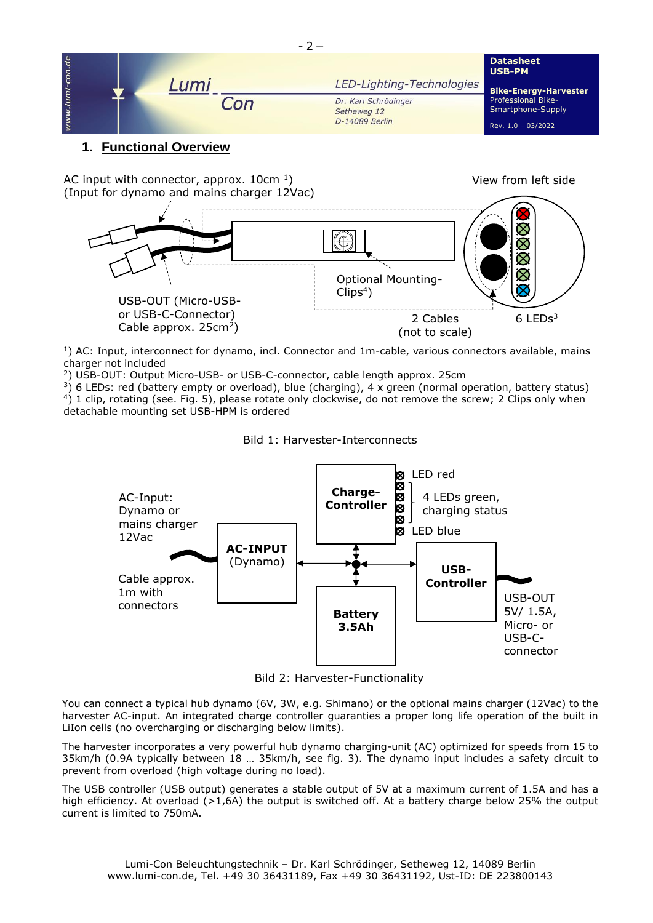

# **1. Functional Overview**

AC input with connector, approx.  $10 \text{cm}^{-1}$ ) (Input for dynamo and mains charger 12Vac)

 $\bigcirc$  *USB-PM* Optional Mounting- $Clips<sup>4</sup>$ ) USB-OUT (Micro-USBor USB-C-Connector) 6 LEDs<sup>3</sup> 2 Cables Cable approx.  $25cm<sup>2</sup>$ ) (not to scale)

View from left side

 $1)$  AC: Input, interconnect for dynamo, incl. Connector and 1m-cable, various connectors available, mains charger not included

<sup>2</sup>) USB-OUT: Output Micro-USB- or USB-C-connector, cable length approx. 25cm

 $3)$  6 LEDs: red (battery empty or overload), blue (charging), 4 x green (normal operation, battery status) <sup>4</sup>) 1 clip, rotating (see. Fig. 5), please rotate only clockwise, do not remove the screw; 2 Clips only when detachable mounting set USB-HPM is ordered





Bild 2: Harvester-Functionality

You can connect a typical hub dynamo (6V, 3W, e.g. Shimano) or the optional mains charger (12Vac) to the harvester AC-input. An integrated charge controller guaranties a proper long life operation of the built in LiIon cells (no overcharging or discharging below limits).

The harvester incorporates a very powerful hub dynamo charging-unit (AC) optimized for speeds from 15 to 35km/h (0.9A typically between 18 … 35km/h, see fig. 3). The dynamo input includes a safety circuit to prevent from overload (high voltage during no load).

The USB controller (USB output) generates a stable output of 5V at a maximum current of 1.5A and has a high efficiency. At overload (>1,6A) the output is switched off. At a battery charge below 25% the output current is limited to 750mA.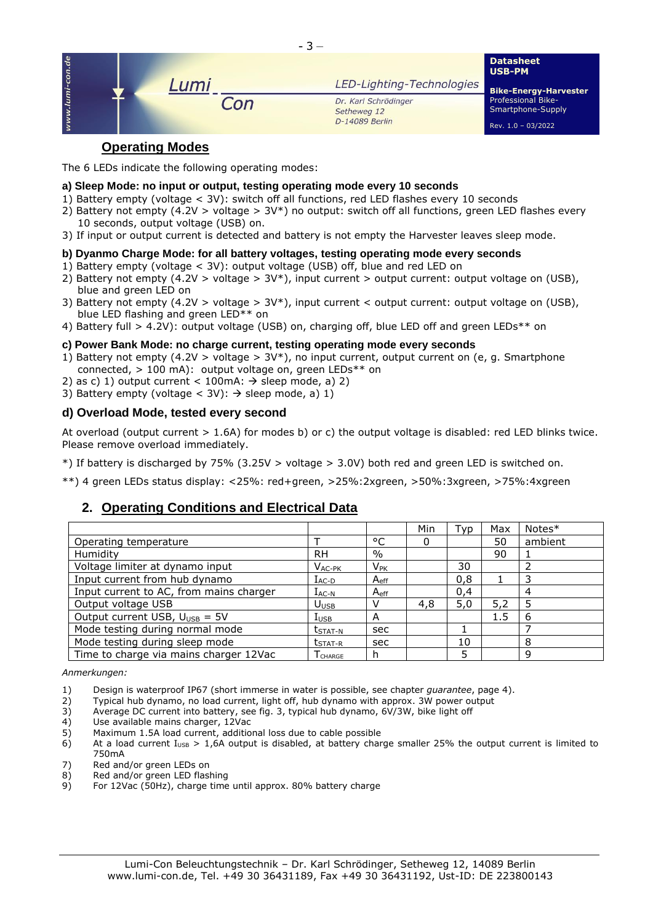

# **Operating Modes**

The 6 LEDs indicate the following operating modes:

#### **a) Sleep Mode: no input or output, testing operating mode every 10 seconds**

- 1) Battery empty (voltage < 3V): switch off all functions, red LED flashes every 10 seconds
- 2) Battery not empty (4.2V > voltage > 3V\*) no output: switch off all functions, green LED flashes every 10 seconds, output voltage (USB) on.
- 3) If input or output current is detected and battery is not empty the Harvester leaves sleep mode.

#### **b) Dyanmo Charge Mode: for all battery voltages, testing operating mode every seconds**

- 1) Battery empty (voltage < 3V): output voltage (USB) off, blue and red LED on
- 2) Battery not empty (4.2V > voltage > 3V\*), input current > output current: output voltage on (USB), blue and green LED on
- 3) Battery not empty (4.2V > voltage > 3V\*), input current < output current: output voltage on (USB), blue LED flashing and green LED<sup>\*\*</sup> on
- 4) Battery full > 4.2V): output voltage (USB) on, charging off, blue LED off and green LEDs\*\* on

#### **c) Power Bank Mode: no charge current, testing operating mode every seconds**

- 1) Battery not empty (4.2V > voltage >  $3V^*$ ), no input current, output current on (e, g. Smartphone connected, > 100 mA): output voltage on, green LEDs\*\* on
- 2) as c) 1) output current < 100mA:  $\rightarrow$  sleep mode, a) 2)
- 3) Battery empty (voltage < 3V):  $\rightarrow$  sleep mode, a) 1)

#### **d) Overload Mode, tested every second**

At overload (output current > 1.6A) for modes b) or c) the output voltage is disabled: red LED blinks twice. Please remove overload immediately.

\*) If battery is discharged by 75% (3.25V > voltage > 3.0V) both red and green LED is switched on.

\*\*) 4 green LEDs status display: <25%: red+green, >25%:2xgreen, >50%:3xgreen, >75%:4xgreen

# **2. Operating Conditions and Electrical Data**

|                                           |                                |                  | Min | Typ | Max | $Notes*$ |
|-------------------------------------------|--------------------------------|------------------|-----|-----|-----|----------|
| Operating temperature                     |                                | °C               | 0   |     | 50  | ambient  |
| Humidity                                  | <b>RH</b>                      | $\%$             |     |     | 90  |          |
| Voltage limiter at dynamo input           | $V_{AC-PK}$                    | $V_{PK}$         |     | 30  |     |          |
| Input current from hub dynamo             | $I_{AC-D}$                     | A <sub>eff</sub> |     | 0,8 |     |          |
| Input current to AC, from mains charger   | $I_{AC-N}$                     | A <sub>eff</sub> |     | 0.4 |     | 4        |
| Output voltage USB                        | U <sub>USE</sub>               |                  | 4,8 | 5,0 | 5,2 | 5        |
| Output current USB, $U_{\text{USB}} = 5V$ | $I_{\text{USE}}$               | A                |     |     | 1.5 | 6        |
| Mode testing during normal mode           | $t_{\text{STAT-N}}$            | sec              |     |     |     |          |
| Mode testing during sleep mode            | $t$ <sub>STAT-R</sub>          | sec              |     | 10  |     | 8        |
| Time to charge via mains charger 12Vac    | $\mathsf{T}_{\mathsf{CHARGE}}$ |                  |     |     |     | q        |

*Anmerkungen:*

- 1) Design is waterproof IP67 (short immerse in water is possible, see chapter *guarantee*, page 4).
- 2) Typical hub dynamo, no load current, light off, hub dynamo with approx. 3W power output
- 3) Average DC current into battery, see fig. 3, typical hub dynamo, 6V/3W, bike light off
- 4) Use available mains charger, 12Vac<br>5) Maximum 1.5A load current, additio<br>6) At a load current  $I_{\text{USB}} > 1,6$ A outpu
- Maximum 1.5A load current, additional loss due to cable possible
- At a load current  $I<sub>USB</sub> > 1,6A$  output is disabled, at battery charge smaller 25% the output current is limited to 750mA
- 7) Red and/or green LEDs on<br>8) Red and/or green LED flas
- $8$ ) Red and/or green LED flashing<br>9) For 12Vac (50Hz), charge time
- For 12Vac (50Hz), charge time until approx. 80% battery charge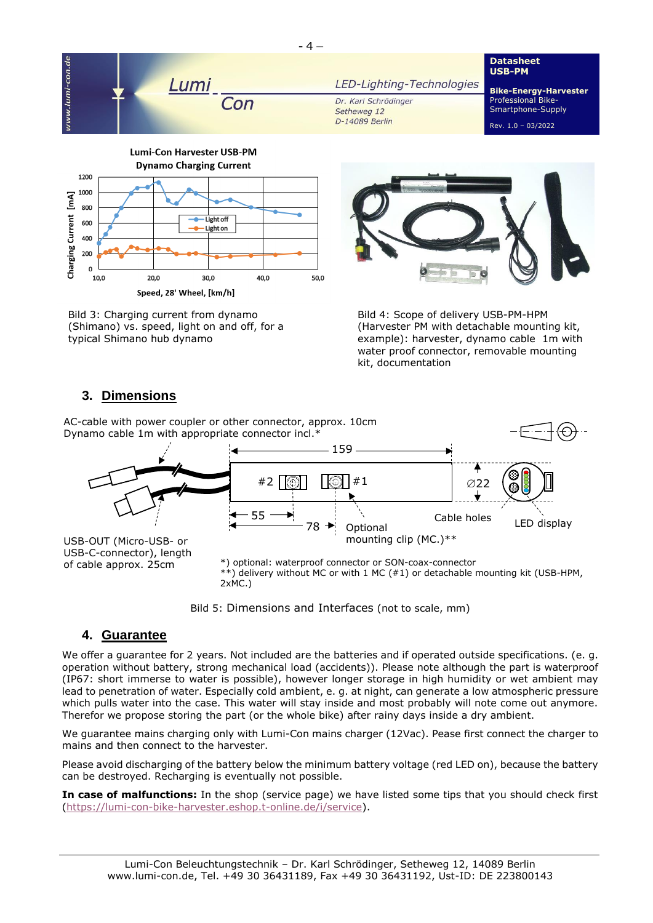

Bild 4: Scope of delivery USB-PM-HPM (Harvester PM with detachable mounting kit, example): harvester, dynamo cable 1m with water proof connector, removable mounting kit, documentation

# **3. Dimensions**

typical Shimano hub dynamo

(Shimano) vs. speed, light on and off, for a

AC-cable with power coupler or other connector, approx. 10cm Dynamo cable 1m with appropriate connector incl.\* Optional mounting clip (MC.)\*\* LED display USB-OUT (Micro-USB- or USB-C-connector), length of cable approx. 25cm **1999** 159 Cable holes \*) optional: waterproof connector or SON-coax-connector 55 78 #2  $\begin{bmatrix} \circledR & \circledR \end{bmatrix}$  #1  $\qquad \qquad$  022

\*\*) delivery without MC or with 1 MC (#1) or detachable mounting kit (USB-HPM, 2xMC.)



## **4. Guarantee**

We offer a guarantee for 2 years. Not included are the batteries and if operated outside specifications. (e. g. operation without battery, strong mechanical load (accidents)). Please note although the part is waterproof (IP67: short immerse to water is possible), however longer storage in high humidity or wet ambient may lead to penetration of water. Especially cold ambient, e. g. at night, can generate a low atmospheric pressure which pulls water into the case. This water will stay inside and most probably will note come out anymore. Therefor we propose storing the part (or the whole bike) after rainy days inside a dry ambient.

We guarantee mains charging only with Lumi-Con mains charger (12Vac). Pease first connect the charger to mains and then connect to the harvester.

Please avoid discharging of the battery below the minimum battery voltage (red LED on), because the battery can be destroyed. Recharging is eventually not possible.

**In case of malfunctions:** In the shop (service page) we have listed some tips that you should check first [\(https://lumi-con-bike-harvester.eshop.t-online.de/i/service\)](https://lumi-con-bike-harvester.eshop.t-online.de/i/service).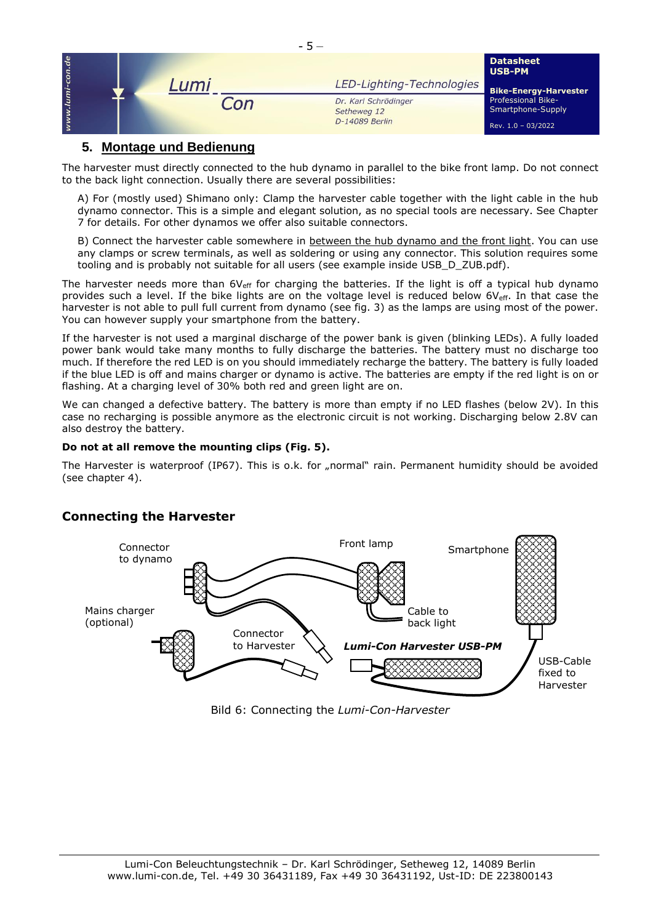|     |         | $-5-$ |                                     |                                                                                |
|-----|---------|-------|-------------------------------------|--------------------------------------------------------------------------------|
| de  |         |       |                                     | <b>Datasheet</b><br><b>USB-PM</b>                                              |
| lun | Lumi    |       | LED-Lighting-Technologies           | <b>Bike-Energy-Harvester</b><br><b>Professional Bike-</b><br>Smartphone-Supply |
|     | $n^{n}$ |       | Dr. Karl Schrödinger<br>Setheweg 12 |                                                                                |
|     |         |       | D-14089 Berlin                      | Rev. 1.0 - 03/2022                                                             |

# **5. Montage und Bedienung**

The harvester must directly connected to the hub dynamo in parallel to the bike front lamp. Do not connect to the back light connection. Usually there are several possibilities:

A) For (mostly used) Shimano only: Clamp the harvester cable together with the light cable in the hub dynamo connector. This is a simple and elegant solution, as no special tools are necessary. See Chapter 7 for details. For other dynamos we offer also suitable connectors.

B) Connect the harvester cable somewhere in between the hub dynamo and the front light. You can use any clamps or screw terminals, as well as soldering or using any connector. This solution requires some tooling and is probably not suitable for all users (see example inside USB\_D\_ZUB.pdf).

The harvester needs more than  $6V_{\text{eff}}$  for charging the batteries. If the light is off a typical hub dynamo provides such a level. If the bike lights are on the voltage level is reduced below 6V<sub>eff</sub>. In that case the harvester is not able to pull full current from dynamo (see fig. 3) as the lamps are using most of the power. You can however supply your smartphone from the battery.

If the harvester is not used a marginal discharge of the power bank is given (blinking LEDs). A fully loaded power bank would take many months to fully discharge the batteries. The battery must no discharge too much. If therefore the red LED is on you should immediately recharge the battery. The battery is fully loaded if the blue LED is off and mains charger or dynamo is active. The batteries are empty if the red light is on or flashing. At a charging level of 30% both red and green light are on.

We can changed a defective battery. The battery is more than empty if no LED flashes (below 2V). In this case no recharging is possible anymore as the electronic circuit is not working. Discharging below 2.8V can also destroy the battery.

#### **Do not at all remove the mounting clips (Fig. 5).**

The Harvester is waterproof (IP67). This is o.k. for "normal" rain. Permanent humidity should be avoided (see chapter 4).

# **Connecting the Harvester**



Bild 6: Connecting the *Lumi-Con-Harvester*